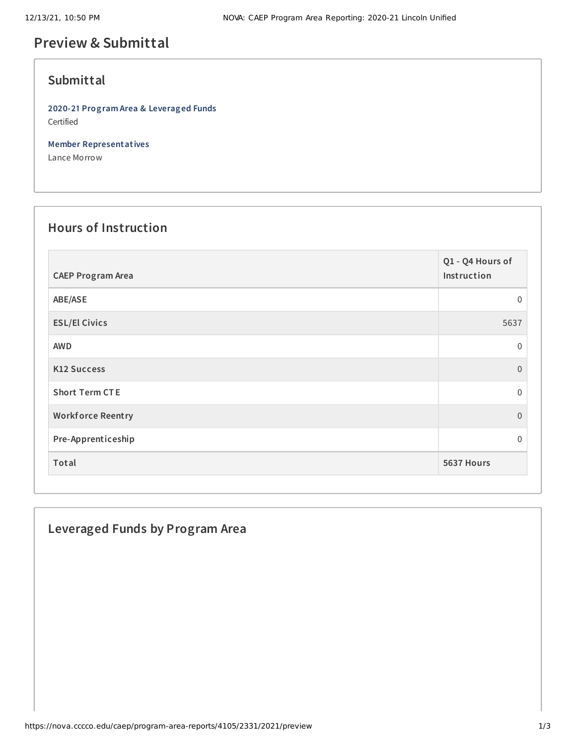# **Preview & Submittal**

#### **Submittal**

**2020-21 Program Area & Leveraged Funds** Certified

**Member Representatives**

Lance Morrow

# **Hours of Instruction**

| <b>CAEP Program Area</b> | Q1 - Q4 Hours of<br>Instruction |
|--------------------------|---------------------------------|
| ABE/ASE                  | $\mathbf 0$                     |
| <b>ESL/El Civics</b>     | 5637                            |
| <b>AWD</b>               | $\mathbf 0$                     |
| <b>K12 Success</b>       | $\Omega$                        |
| <b>Short Term CTE</b>    | $\mathbf{0}$                    |
| <b>Workforce Reentry</b> | $\mathbf{0}$                    |
| Pre-Apprenticeship       | $\mathbf 0$                     |
| Total                    | 5637 Hours                      |

## **Leveraged Funds by Program Area**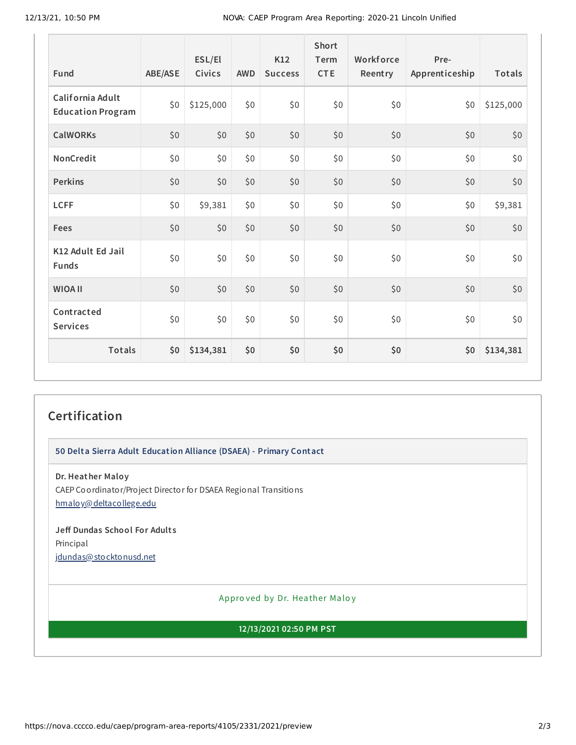| Fund                                         | ABE/ASE | ESL/El<br>Civics | <b>AWD</b> | K12<br><b>Success</b> | Short<br>Term<br><b>CTE</b> | Workforce<br>Reentry | Pre-<br>Apprenticeship | Totals    |
|----------------------------------------------|---------|------------------|------------|-----------------------|-----------------------------|----------------------|------------------------|-----------|
| California Adult<br><b>Education Program</b> | \$0     | \$125,000        | \$0        | \$0                   | \$0                         | \$0                  | \$0                    | \$125,000 |
| <b>CalWORKs</b>                              | \$0     | \$0              | \$0        | \$0                   | \$0                         | \$0                  | \$0                    | \$0       |
| NonCredit                                    | \$0     | \$0\$            | \$0        | \$0                   | \$0                         | \$0                  | \$0                    | \$0       |
| <b>Perkins</b>                               | \$0     | \$0              | \$0        | \$0                   | \$0                         | \$0                  | \$0                    | \$0       |
| <b>LCFF</b>                                  | \$0     | \$9,381          | \$0        | \$0                   | \$0                         | \$0                  | \$0                    | \$9,381   |
| Fees                                         | \$0     | \$0              | \$0        | \$0                   | \$0                         | \$0                  | \$0                    | \$0       |
| K12 Adult Ed Jail<br><b>Funds</b>            | \$0     | \$0              | \$0        | \$0                   | \$0                         | \$0                  | \$0                    | \$0       |
| <b>WIOA II</b>                               | \$0     | \$0              | \$0        | \$0                   | \$0                         | \$0                  | \$0                    | \$0       |
| Contracted<br><b>Services</b>                | \$0     | \$0              | \$0        | \$0                   | \$0                         | \$0                  | \$0                    | \$0       |
| Totals                                       | \$0     | \$134,381        | \$0        | \$0                   | \$0                         | \$0                  | \$0                    | \$134,381 |

## **Certification**

**50 Delta Sierra Adult Education Alliance (DSAEA) - Primary Contact**

**Dr. Heather Maloy** CAEP Coordinator/Project Director for DSAEA Regional Transitions [hmaloy@deltacollege.edu](mailto:hmaloy@deltacollege.edu)

**Jeff Dundas School For Adult s** Principal [jdundas@stocktonusd.net](mailto:jdundas@stocktonusd.net)

Appro ved by Dr. Heather Maloy

**12/13/2021 02:50 PM PST**